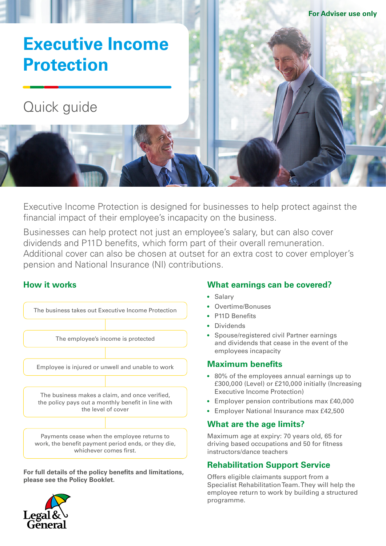

Executive Income Protection is designed for businesses to help protect against the financial impact of their employee's incapacity on the business.

Businesses can help protect not just an employee's salary, but can also cover dividends and P11D benefits, which form part of their overall remuneration. Additional cover can also be chosen at outset for an extra cost to cover employer's pension and National Insurance (NI) contributions.

# **How it works**



**For full details of the policy benefits and limitations, please see the Policy Booklet.**



### **What earnings can be covered?**

- Salary
- Overtime/Bonuses
- P11D Benefits
- Dividends
- Spouse/registered civil Partner earnings and dividends that cease in the event of the employees incapacity

# **Maximum benefits**

- 80% of the employees annual earnings up to £300,000 (Level) or £210,000 initially (Increasing Executive Income Protection)
- Employer pension contributions max £40,000
- Employer National Insurance max £42,500

# **What are the age limits?**

Maximum age at expiry: 70 years old, 65 for driving based occupations and 50 for fitness instructors/dance teachers

# **Rehabilitation Support Service**

Offers eligible claimants support from a Specialist Rehabilitation Team. They will help the employee return to work by building a structured programme.